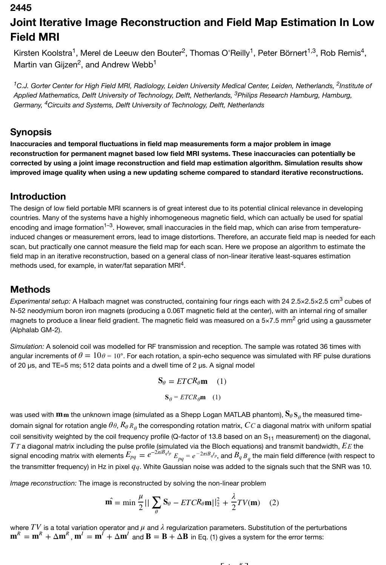**2445**

# **Joint Iterative Image Reconstruction and Field Map Estimation In Low Field MRI**

Kirsten Koolstra<sup>1</sup>, Merel de Leeuw den Bouter<sup>2</sup>, Thomas O'Reilly<sup>1</sup>, Peter Börnert<sup>1,3</sup>, Rob Remis<sup>4</sup>, Martin van Gijzen<sup>2</sup>, and Andrew Webb<sup>1</sup>

<sup>1</sup>C.J. Gorter Center for High Field MRI, Radiology, Leiden University Medical Center, Leiden, Netherlands, <sup>2</sup>Institute of Applied Mathematics, Delft University of Technology, Delft, Netherlands, <sup>3</sup>Philips Research Hamburg, Hamburg, Germany, <sup>4</sup>Circuits and Systems, Delft University of Technology, Delft, Netherlands

#### **Synopsis**

**Inaccuracies and temporal fluctuations in field map measurements form a major problem in image reconstruction for permanent magnet based low field MRI systems. These inaccuracies can potentially be corrected by using a joint image reconstruction and field map estimation algorithm. Simulation results show improved image quality when using a new updating scheme compared to standard iterative reconstructions.**

#### **Introduction**

The design of low field portable MRI scanners is of great interest due to its potential clinical relevance in developing countries. Many of the systems have a highly inhomogeneous magnetic field, which can actually be used for spatial encoding and image formation<sup>1–3</sup>. However, small inaccuracies in the field map, which can arise from temperatureinduced changes or measurement errors, lead to image distortions. Therefore, an accurate field map is needed for each scan, but practically one cannot measure the field map for each scan. Here we propose an algorithm to estimate the field map in an iterative reconstruction, based on a general class of non-linear iterative least-squares estimation methods used, for example, in water/fat separation MRI<sup>4</sup>.

#### **Methods**

Experimental setup: A Halbach magnet was constructed, containing four rings each with 24 2.5×2.5×2.5 cm<sup>3</sup> cubes of N-52 neodymium boron iron magnets (producing a 0.06T magnetic field at the center), with an internal ring of smaller magnets to produce a linear field gradient. The magnetic field was measured on a 5×7.5 mm<sup>2</sup> grid using a gaussmeter (Alphalab GM-2).

*Simulation:* A solenoid coil was modelled for RF transmission and reception. The sample was rotated 36 times with angular increments of  $\theta=10$  $\theta$  =  $10^{\circ}$ . For each rotation, a spin-echo sequence was simulated with RF pulse durations of 20  $\mu$ s, and TE=5 ms; 512 data points and a dwell time of 2  $\mu$ s. A signal model

$$
\mathbf{S}_{\theta} = ETCR_{\theta} \mathbf{m} \quad (1)
$$

$$
\mathbf{S}_{\theta} = ETCR_{\theta} \mathbf{m} \quad (1)
$$

was used with  $\bf{m}$ m the unknown image (simulated as a Shepp Logan MATLAB phantom),  ${\bf S}_\theta\,{\bf S}_\theta$  the measured timedomain signal for rotation angle  $\theta\theta$ ,  $R_\theta$ *R<sub>θ</sub>* the corresponding rotation matrix,  $CC$  a diagonal matrix with uniform spatial coil sensitivity weighted by the coil frequency profile (Q-factor of 13.8 based on an  $S_{11}$  measurement) on the diagonal, *T* a diagonal matrix including the pulse profile (simulated via the Bloch equations) and transmit bandwidth, *E* the signal encoding matrix with elements  $E_{pq}=e^{-2\pi iB_qt_p}\,E_{pq}=e^{-2\pi iB_qt_p},$  and  $B_qB_q$  the main field difference (with respect to the transmitter frequency) in Hz in pixel  $q\bar{q}$ . White Gaussian noise was added to the signals such that the SNR was 10.  $T\tau$  a diagonal matrix including the pulse profile (simulated via the Bloch equations) and transmit bandwidth,  $E$  $E_{pq}=e^{-2\pi iB_qt_p}$   $E_{pq}=e^{-2\pi iB_qt_p},$  and  $B_q$ 

*Image reconstruction:* The image is reconstructed by solving the non-linear problem

$$
\hat{\mathbf{m}} = \min \frac{\mu}{2} || \sum_{\theta} \mathbf{S}_{\theta} - ETCR_{\theta} \mathbf{m} ||_2^2 + \frac{\lambda}{2} TV(\mathbf{m}) \quad (2)
$$

where  $TV$  is a total variation operator and  $\mu$  and  $\lambda$  regularization parameters. Substitution of the perturbations  $\bf{m}^R = \bf{m}^R + \Delta \bf{m}^R$  ,  $\bf{m}^I = \bf{m}^I + \Delta \bf{m}^I$  and  $\bf{B} = \bf{B} + \Delta \bf{B}$  in Eq. (1) gives a system for the error terms:

$$
\blacksquare
$$
 .  $\blacksquare$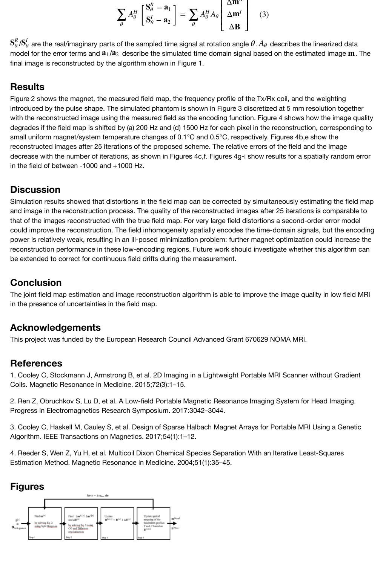

 ${\bf S}_{\theta}^R/{\bf S}_{\theta}^I$  are the real/imaginary parts of the sampled time signal at rotation angle  $\theta$ .  $A_\theta$  describes the linearized data model for the error terms and  $a_1/a_2$  describe the simulated time domain signal based on the estimated image  $m$ . The final image is reconstructed by the algorithm shown in Figure 1.

## **Results**

Figure 2 shows the magnet, the measured field map, the frequency profile of the Tx/Rx coil, and the weighting introduced by the pulse shape. The simulated phantom is shown in Figure 3 discretized at 5 mm resolution together with the reconstructed image using the measured field as the encoding function. Figure 4 shows how the image quality degrades if the field map is shifted by (a) 200 Hz and (d) 1500 Hz for each pixel in the reconstruction, corresponding to small uniform magnet/system temperature changes of 0.1°C and 0.5°C, respectively. Figures 4b,e show the reconstructed images after 25 iterations of the proposed scheme. The relative errors of the field and the image decrease with the number of iterations, as shown in Figures 4c,f. Figures 4g-i show results for a spatially random error in the field of between -1000 and +1000 Hz.

## **Discussion**

Simulation results showed that distortions in the field map can be corrected by simultaneously estimating the field map and image in the reconstruction process. The quality of the reconstructed images after 25 iterations is comparable to that of the images reconstructed with the true field map. For very large field distortions a second-order error model could improve the reconstruction. The field inhomogeneity spatially encodes the time-domain signals, but the encoding power is relatively weak, resulting in an ill-posed minimization problem: further magnet optimization could increase the reconstruction performance in these low-encoding regions. Future work should investigate whether this algorithm can be extended to correct for continuous field drifts during the measurement.

## **Conclusion**

The joint field map estimation and image reconstruction algorithm is able to improve the image quality in low field MRI in the presence of uncertainties in the field map.

#### **Acknowledgements**

This project was funded by the European Research Council Advanced Grant 670629 NOMA MRI.

#### **References**

1. Cooley C, Stockmann J, Armstrong B, et al. 2D Imaging in a Lightweight Portable MRI Scanner without Gradient Coils. Magnetic Resonance in Medicine. 2015;72(3):1–15.

2. Ren Z, Obruchkov S, Lu D, et al. A Low-field Portable Magnetic Resonance Imaging System for Head Imaging. Progress in Electromagnetics Research Symposium. 2017:3042–3044.

3. Cooley C, Haskell M, Cauley S, et al. Design of Sparse Halbach Magnet Arrays for Portable MRI Using a Genetic Algorithm. IEEE Transactions on Magnetics. 2017;54(1):1–12.

4. Reeder S, Wen Z, Yu H, et al. Multicoil Dixon Chemical Species Separation With an Iterative Least-Squares Estimation Method. Magnetic Resonance in Medicine. 2004;51(1):35–45.

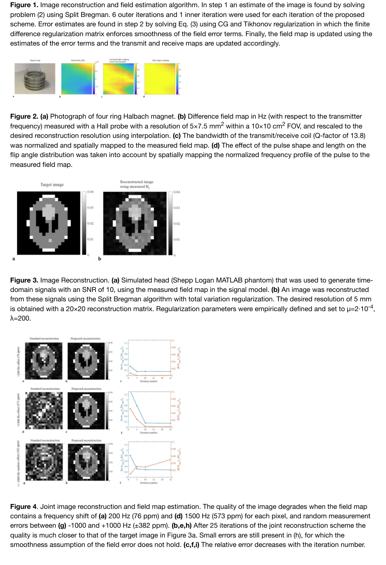scheme. Error estimates are found in step 2 by solving Eq. (3) using CG and Tikhonov regularization in which the finite difference regularization matrix enforces smoothness of the field error terms. Finally, the field map is updated using the estimates of the error terms and the transmit and receive maps are updated accordingly.



**Figure 2. (a)** [Photograph of four ring Halbach magnet.](https://index.mirasmart.com/ISMRM2019/PDFfiles/images/248/ISMRM2019-000248_Fig2.JPG) **(b)** Difference field map in Hz (with respect to the transmitter frequency) measured with a Hall probe with a resolution of 5×7.5 mm<sup>2</sup> within a 10×10 cm<sup>2</sup> FOV, and rescaled to the desired reconstruction resolution using interpolation. **(c)** The bandwidth of the transmit/receive coil (Q-factor of 13.8) was normalized and spatially mapped to the measured field map. **(d)** The effect of the pulse shape and length on the flip angle distribution was taken into account by spatially mapping the normalized frequency profile of the pulse to the measured field map.



**Figure 3.** [Image Reconstruction.](https://index.mirasmart.com/ISMRM2019/PDFfiles/images/248/ISMRM2019-000248_Fig3.JPG) **(a)** Simulated head (Shepp Logan MATLAB phantom) that was used to generate timedomain signals with an SNR of 10, using the measured field map in the signal model. **(b)** An image was reconstructed from these signals using the Split Bregman algorithm with total variation regularization. The desired resolution of 5 mm is obtained with a 20×20 reconstruction matrix. Regularization parameters were empirically defined and set to  $\mu$ =2·10<sup>-4</sup>, λ=200.



**Figure 4**[. Joint image reconstruction and field map estim](https://index.mirasmart.com/ISMRM2019/PDFfiles/images/248/ISMRM2019-000248_Fig4.JPG)ation. The quality of the image degrades when the field map contains a frequency shift of **(a)** 200 Hz (76 ppm) and **(d)** 1500 Hz (573 ppm) for each pixel, and random measurement errors between **(g)** -1000 and +1000 Hz (±382 ppm). **(b,e,h)** After 25 iterations of the joint reconstruction scheme the quality is much closer to that of the target image in Figure 3a. Small errors are still present in (h), for which the smoothness assumption of the field error does not hold. **(c,f,i)** The relative error decreases with the iteration number.